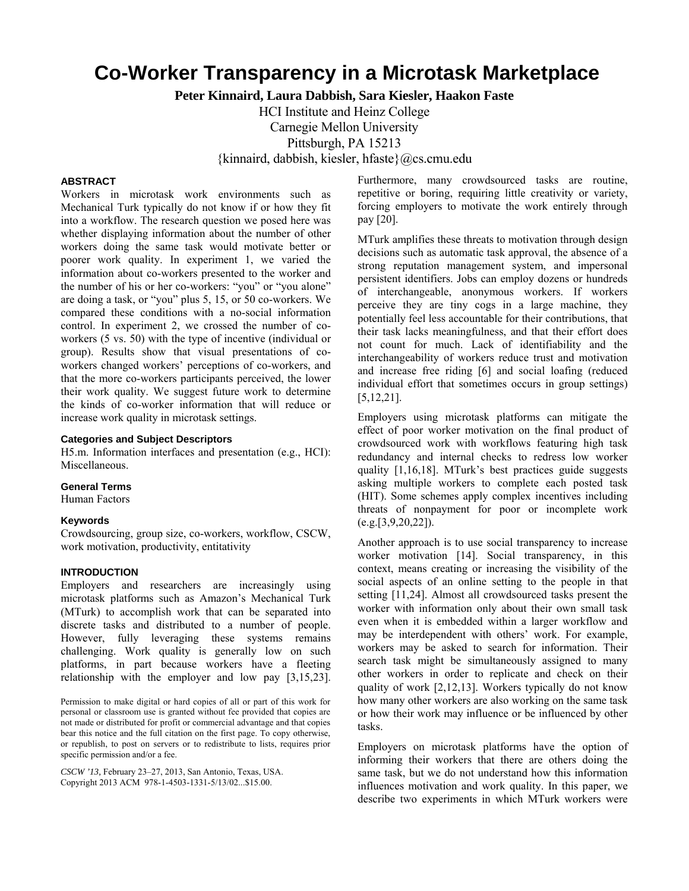# **Co-Worker Transparency in a Microtask Marketplace**

**Peter Kinnaird, Laura Dabbish, Sara Kiesler, Haakon Faste**

HCI Institute and Heinz College

Carnegie Mellon University

Pittsburgh, PA 15213

{kinnaird, dabbish, kiesler, hfaste}@cs.cmu.edu

# **ABSTRACT**

Workers in microtask work environments such as Mechanical Turk typically do not know if or how they fit into a workflow. The research question we posed here was whether displaying information about the number of other workers doing the same task would motivate better or poorer work quality. In experiment 1, we varied the information about co-workers presented to the worker and the number of his or her co-workers: "you" or "you alone" are doing a task, or "you" plus 5, 15, or 50 co-workers. We compared these conditions with a no-social information control. In experiment 2, we crossed the number of coworkers (5 vs. 50) with the type of incentive (individual or group). Results show that visual presentations of coworkers changed workers' perceptions of co-workers, and that the more co-workers participants perceived, the lower their work quality. We suggest future work to determine the kinds of co-worker information that will reduce or increase work quality in microtask settings.

## **Categories and Subject Descriptors**

H5.m. Information interfaces and presentation (e.g., HCI): Miscellaneous.

## **General Terms**

Human Factors

# **Keywords**

Crowdsourcing, group size, co-workers, workflow, CSCW, work motivation, productivity, entitativity

#### **INTRODUCTION**

Employers and researchers are increasingly using microtask platforms such as Amazon's Mechanical Turk (MTurk) to accomplish work that can be separated into discrete tasks and distributed to a number of people. However, fully leveraging these systems remains challenging. Work quality is generally low on such platforms, in part because workers have a fleeting relationship with the employer and low pay [3,15,23].

Permission to make digital or hard copies of all or part of this work for personal or classroom use is granted without fee provided that copies are not made or distributed for profit or commercial advantage and that copies bear this notice and the full citation on the first page. To copy otherwise, or republish, to post on servers or to redistribute to lists, requires prior specific permission and/or a fee.

*CSCW '13,* February 23–27, 2013, San Antonio, Texas, USA. Copyright 2013 ACM 978-1-4503-1331-5/13/02...\$15.00.

Furthermore, many crowdsourced tasks are routine, repetitive or boring, requiring little creativity or variety, forcing employers to motivate the work entirely through pay [20].

MTurk amplifies these threats to motivation through design decisions such as automatic task approval, the absence of a strong reputation management system, and impersonal persistent identifiers. Jobs can employ dozens or hundreds of interchangeable, anonymous workers. If workers perceive they are tiny cogs in a large machine, they potentially feel less accountable for their contributions, that their task lacks meaningfulness, and that their effort does not count for much. Lack of identifiability and the interchangeability of workers reduce trust and motivation and increase free riding [6] and social loafing (reduced individual effort that sometimes occurs in group settings) [5,12,21].

Employers using microtask platforms can mitigate the effect of poor worker motivation on the final product of crowdsourced work with workflows featuring high task redundancy and internal checks to redress low worker quality [1,16,18]. MTurk's best practices guide suggests asking multiple workers to complete each posted task (HIT). Some schemes apply complex incentives including threats of nonpayment for poor or incomplete work (e.g.[3,9,20,22]).

Another approach is to use social transparency to increase worker motivation [14]. Social transparency, in this context, means creating or increasing the visibility of the social aspects of an online setting to the people in that setting [11,24]. Almost all crowdsourced tasks present the worker with information only about their own small task even when it is embedded within a larger workflow and may be interdependent with others' work. For example, workers may be asked to search for information. Their search task might be simultaneously assigned to many other workers in order to replicate and check on their quality of work [2,12,13]. Workers typically do not know how many other workers are also working on the same task or how their work may influence or be influenced by other tasks.

Employers on microtask platforms have the option of informing their workers that there are others doing the same task, but we do not understand how this information influences motivation and work quality. In this paper, we describe two experiments in which MTurk workers were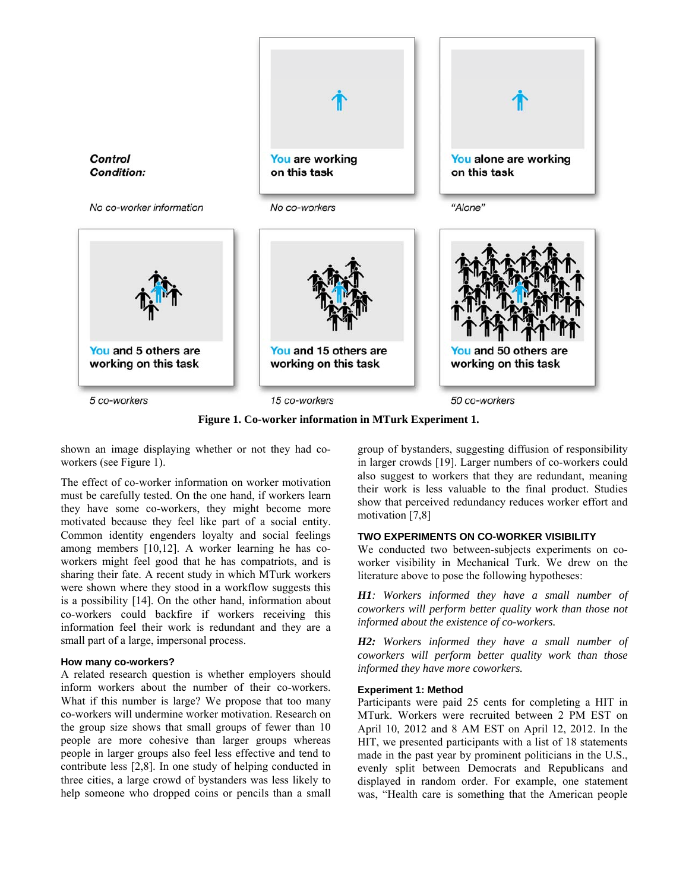

**Figure 1. Co-worker information in MTurk Experiment 1.** 

shown an image displaying whether or not they had coworkers (see Figure 1).

The effect of co-worker information on worker motivation must be carefully tested. On the one hand, if workers learn they have some co-workers, they might become more motivated because they feel like part of a social entity. Common identity engenders loyalty and social feelings among members [10,12]. A worker learning he has coworkers might feel good that he has compatriots, and is sharing their fate. A recent study in which MTurk workers were shown where they stood in a workflow suggests this is a possibility [14]. On the other hand, information about co-workers could backfire if workers receiving this information feel their work is redundant and they are a small part of a large, impersonal process.

# **How many co-workers?**

A related research question is whether employers should inform workers about the number of their co-workers. What if this number is large? We propose that too many co-workers will undermine worker motivation. Research on the group size shows that small groups of fewer than 10 people are more cohesive than larger groups whereas people in larger groups also feel less effective and tend to contribute less [2,8]. In one study of helping conducted in three cities, a large crowd of bystanders was less likely to help someone who dropped coins or pencils than a small group of bystanders, suggesting diffusion of responsibility in larger crowds [19]. Larger numbers of co-workers could also suggest to workers that they are redundant, meaning their work is less valuable to the final product. Studies show that perceived redundancy reduces worker effort and motivation [7,8]

# **TWO EXPERIMENTS ON CO-WORKER VISIBILITY**

We conducted two between-subjects experiments on coworker visibility in Mechanical Turk. We drew on the literature above to pose the following hypotheses:

*H1: Workers informed they have a small number of coworkers will perform better quality work than those not informed about the existence of co-workers.* 

*H2: Workers informed they have a small number of coworkers will perform better quality work than those informed they have more coworkers.*

# **Experiment 1: Method**

Participants were paid 25 cents for completing a HIT in MTurk. Workers were recruited between 2 PM EST on April 10, 2012 and 8 AM EST on April 12, 2012. In the HIT, we presented participants with a list of 18 statements made in the past year by prominent politicians in the U.S., evenly split between Democrats and Republicans and displayed in random order. For example, one statement was, "Health care is something that the American people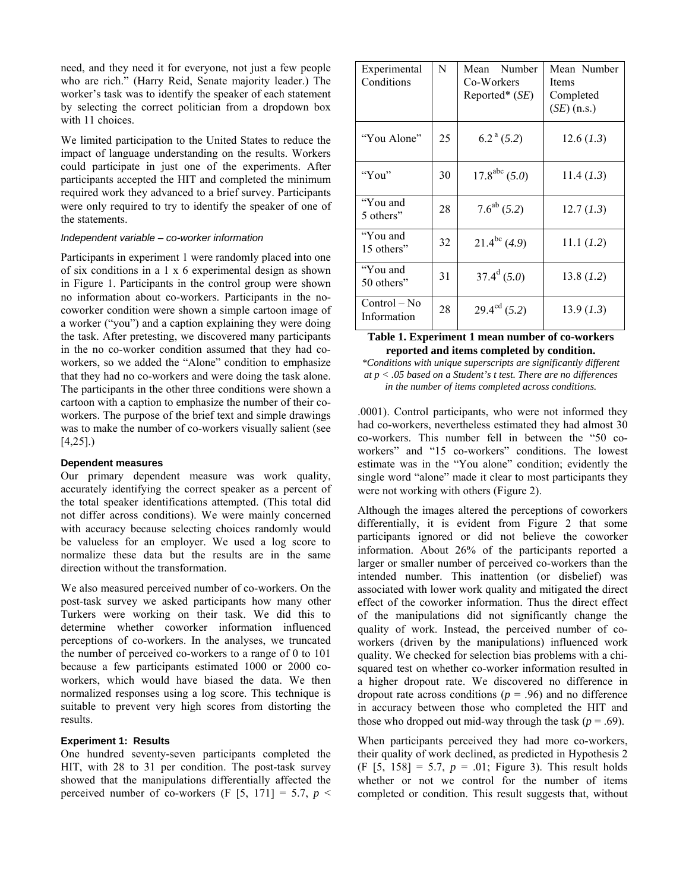need, and they need it for everyone, not just a few people who are rich." (Harry Reid, Senate majority leader.) The worker's task was to identify the speaker of each statement by selecting the correct politician from a dropdown box with 11 choices.

We limited participation to the United States to reduce the impact of language understanding on the results. Workers could participate in just one of the experiments. After participants accepted the HIT and completed the minimum required work they advanced to a brief survey. Participants were only required to try to identify the speaker of one of the statements.

## *Independent variable – co-worker information*

Participants in experiment 1 were randomly placed into one of six conditions in a 1 x 6 experimental design as shown in Figure 1. Participants in the control group were shown no information about co-workers. Participants in the nocoworker condition were shown a simple cartoon image of a worker ("you") and a caption explaining they were doing the task. After pretesting, we discovered many participants in the no co-worker condition assumed that they had coworkers, so we added the "Alone" condition to emphasize that they had no co-workers and were doing the task alone. The participants in the other three conditions were shown a cartoon with a caption to emphasize the number of their coworkers. The purpose of the brief text and simple drawings was to make the number of co-workers visually salient (see [4,25].)

#### **Dependent measures**

Our primary dependent measure was work quality, accurately identifying the correct speaker as a percent of the total speaker identifications attempted. (This total did not differ across conditions). We were mainly concerned with accuracy because selecting choices randomly would be valueless for an employer. We used a log score to normalize these data but the results are in the same direction without the transformation.

We also measured perceived number of co-workers. On the post-task survey we asked participants how many other Turkers were working on their task. We did this to determine whether coworker information influenced perceptions of co-workers. In the analyses, we truncated the number of perceived co-workers to a range of 0 to 101 because a few participants estimated 1000 or 2000 coworkers, which would have biased the data. We then normalized responses using a log score. This technique is suitable to prevent very high scores from distorting the results.

# **Experiment 1: Results**

One hundred seventy-seven participants completed the HIT, with 28 to 31 per condition. The post-task survey showed that the manipulations differentially affected the perceived number of co-workers (F [5, 171] = 5.7,  $p \le$ 

| Experimental<br>Conditions    | N  | Number<br>Mean<br>Co-Workers<br>Reported* $(SE)$ | Mean Number<br>Items<br>Completed<br>$(SE)$ (n.s.) |
|-------------------------------|----|--------------------------------------------------|----------------------------------------------------|
| "You Alone"                   | 25 | $6.2^{\text{a}}(5.2)$                            | 12.6 (1.3)                                         |
| "You"                         | 30 | $17.8^{abc}$ (5.0)                               | 11.4 (1.3)                                         |
| "You and<br>5 others"         | 28 | $7.6^{ab}$ (5.2)                                 | 12.7 (1.3)                                         |
| "You and<br>15 others"        | 32 | $21.4^{bc}$ (4.9)                                | 11.1 (1.2)                                         |
| "You and<br>50 others"        | 31 | $37.4^d$ (5.0)                                   | 13.8(1.2)                                          |
| $Control - No$<br>Information | 28 | $29.4^{\text{cd}} (5.2)$                         | 13.9 (1.3)                                         |

## **Table 1. Experiment 1 mean number of co-workers reported and items completed by condition.**

*\*Conditions with unique superscripts are significantly different at p < .05 based on a Student's t test. There are no differences in the number of items completed across conditions.* 

.0001). Control participants, who were not informed they had co-workers, nevertheless estimated they had almost 30 co-workers. This number fell in between the "50 coworkers" and "15 co-workers" conditions. The lowest estimate was in the "You alone" condition; evidently the single word "alone" made it clear to most participants they were not working with others (Figure 2).

Although the images altered the perceptions of coworkers differentially, it is evident from Figure 2 that some participants ignored or did not believe the coworker information. About 26% of the participants reported a larger or smaller number of perceived co-workers than the intended number. This inattention (or disbelief) was associated with lower work quality and mitigated the direct effect of the coworker information. Thus the direct effect of the manipulations did not significantly change the quality of work. Instead, the perceived number of coworkers (driven by the manipulations) influenced work quality. We checked for selection bias problems with a chisquared test on whether co-worker information resulted in a higher dropout rate. We discovered no difference in dropout rate across conditions ( $p = .96$ ) and no difference in accuracy between those who completed the HIT and those who dropped out mid-way through the task ( $p = .69$ ).

When participants perceived they had more co-workers, their quality of work declined, as predicted in Hypothesis 2 (F [5, 158] = 5.7, *p* = .01; Figure 3). This result holds whether or not we control for the number of items completed or condition. This result suggests that, without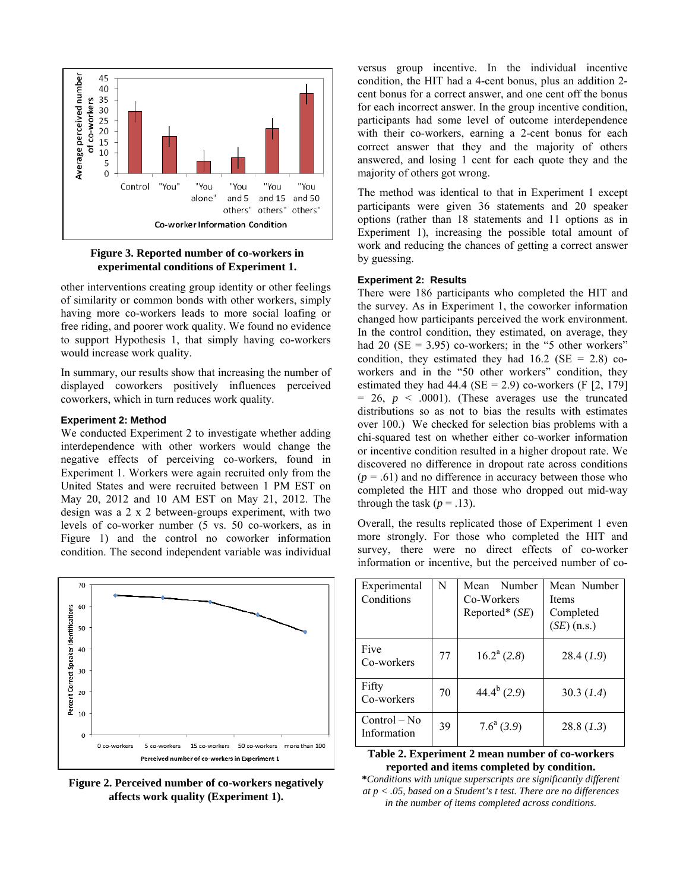

# **Figure 3. Reported number of co-workers in experimental conditions of Experiment 1.**

other interventions creating group identity or other feelings of similarity or common bonds with other workers, simply having more co-workers leads to more social loafing or free riding, and poorer work quality. We found no evidence to support Hypothesis 1, that simply having co-workers would increase work quality.

In summary, our results show that increasing the number of displayed coworkers positively influences perceived coworkers, which in turn reduces work quality.

# **Experiment 2: Method**

We conducted Experiment 2 to investigate whether adding interdependence with other workers would change the negative effects of perceiving co-workers, found in Experiment 1. Workers were again recruited only from the United States and were recruited between 1 PM EST on May 20, 2012 and 10 AM EST on May 21, 2012. The design was a 2 x 2 between-groups experiment, with two levels of co-worker number (5 vs. 50 co-workers, as in Figure 1) and the control no coworker information condition. The second independent variable was individual



**Figure 2. Perceived number of co-workers negatively affects work quality (Experiment 1).** 

versus group incentive. In the individual incentive condition, the HIT had a 4-cent bonus, plus an addition 2 cent bonus for a correct answer, and one cent off the bonus for each incorrect answer. In the group incentive condition, participants had some level of outcome interdependence with their co-workers, earning a 2-cent bonus for each correct answer that they and the majority of others answered, and losing 1 cent for each quote they and the majority of others got wrong.

The method was identical to that in Experiment 1 except participants were given 36 statements and 20 speaker options (rather than 18 statements and 11 options as in Experiment 1), increasing the possible total amount of work and reducing the chances of getting a correct answer by guessing.

# **Experiment 2: Results**

There were 186 participants who completed the HIT and the survey. As in Experiment 1, the coworker information changed how participants perceived the work environment. In the control condition, they estimated, on average, they had 20 ( $SE = 3.95$ ) co-workers; in the "5 other workers" condition, they estimated they had  $16.2$  (SE = 2.8) coworkers and in the "50 other workers" condition, they estimated they had  $44.4$  (SE = 2.9) co-workers (F [2, 179]  $= 26$ ,  $p \le 0.0001$ ). (These averages use the truncated distributions so as not to bias the results with estimates over 100.) We checked for selection bias problems with a chi-squared test on whether either co-worker information or incentive condition resulted in a higher dropout rate. We discovered no difference in dropout rate across conditions  $(p = .61)$  and no difference in accuracy between those who completed the HIT and those who dropped out mid-way through the task  $(p = .13)$ .

Overall, the results replicated those of Experiment 1 even more strongly. For those who completed the HIT and survey, there were no direct effects of co-worker information or incentive, but the perceived number of co-

| Experimental<br>Conditions    | N  | Number<br>Mean<br>Co-Workers<br>Reported* $(SE)$ | Mean Number<br><b>Items</b><br>Completed<br>$(SE)$ (n.s.) |
|-------------------------------|----|--------------------------------------------------|-----------------------------------------------------------|
| Five<br>Co-workers            | 77 | $16.2^a$ (2.8)                                   | 28.4(1.9)                                                 |
| Fifty<br>Co-workers           | 70 | $44.4^b$ (2.9)                                   | 30.3 (1.4)                                                |
| $Control - No$<br>Information | 39 | $7.6^a$ (3.9)                                    | 28.8 (1.3)                                                |

# **Table 2. Experiment 2 mean number of co-workers reported and items completed by condition.**

**\****Conditions with unique superscripts are significantly different at p < .05, based on a Student's t test. There are no differences in the number of items completed across conditions.*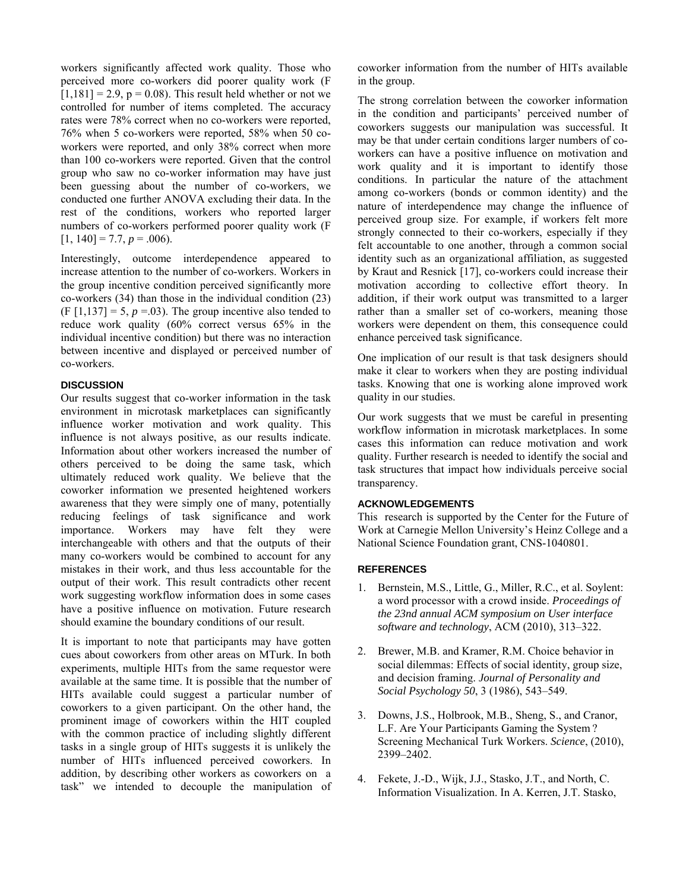workers significantly affected work quality. Those who perceived more co-workers did poorer quality work (F  $[1,181] = 2.9$ ,  $p = 0.08$ ). This result held whether or not we controlled for number of items completed. The accuracy rates were 78% correct when no co-workers were reported, 76% when 5 co-workers were reported, 58% when 50 coworkers were reported, and only 38% correct when more than 100 co-workers were reported. Given that the control group who saw no co-worker information may have just been guessing about the number of co-workers, we conducted one further ANOVA excluding their data. In the rest of the conditions, workers who reported larger numbers of co-workers performed poorer quality work (F  $[1, 140] = 7.7, p = .006$ .

Interestingly, outcome interdependence appeared to increase attention to the number of co-workers. Workers in the group incentive condition perceived significantly more co-workers (34) than those in the individual condition (23)  $(F [1, 137] = 5, p = .03)$ . The group incentive also tended to reduce work quality (60% correct versus 65% in the individual incentive condition) but there was no interaction between incentive and displayed or perceived number of co-workers.

# **DISCUSSION**

Our results suggest that co-worker information in the task environment in microtask marketplaces can significantly influence worker motivation and work quality. This influence is not always positive, as our results indicate. Information about other workers increased the number of others perceived to be doing the same task, which ultimately reduced work quality. We believe that the coworker information we presented heightened workers awareness that they were simply one of many, potentially reducing feelings of task significance and work importance. Workers may have felt they were interchangeable with others and that the outputs of their many co-workers would be combined to account for any mistakes in their work, and thus less accountable for the output of their work. This result contradicts other recent work suggesting workflow information does in some cases have a positive influence on motivation. Future research should examine the boundary conditions of our result.

It is important to note that participants may have gotten cues about coworkers from other areas on MTurk. In both experiments, multiple HITs from the same requestor were available at the same time. It is possible that the number of HITs available could suggest a particular number of coworkers to a given participant. On the other hand, the prominent image of coworkers within the HIT coupled with the common practice of including slightly different tasks in a single group of HITs suggests it is unlikely the number of HITs influenced perceived coworkers. In addition, by describing other workers as coworkers on a task" we intended to decouple the manipulation of coworker information from the number of HITs available in the group.

The strong correlation between the coworker information in the condition and participants' perceived number of coworkers suggests our manipulation was successful. It may be that under certain conditions larger numbers of coworkers can have a positive influence on motivation and work quality and it is important to identify those conditions. In particular the nature of the attachment among co-workers (bonds or common identity) and the nature of interdependence may change the influence of perceived group size. For example, if workers felt more strongly connected to their co-workers, especially if they felt accountable to one another, through a common social identity such as an organizational affiliation, as suggested by Kraut and Resnick [17], co-workers could increase their motivation according to collective effort theory. In addition, if their work output was transmitted to a larger rather than a smaller set of co-workers, meaning those workers were dependent on them, this consequence could enhance perceived task significance.

One implication of our result is that task designers should make it clear to workers when they are posting individual tasks. Knowing that one is working alone improved work quality in our studies.

Our work suggests that we must be careful in presenting workflow information in microtask marketplaces. In some cases this information can reduce motivation and work quality. Further research is needed to identify the social and task structures that impact how individuals perceive social transparency.

#### **ACKNOWLEDGEMENTS**

This research is supported by the Center for the Future of Work at Carnegie Mellon University's Heinz College and a National Science Foundation grant, CNS-1040801.

## **REFERENCES**

- 1. Bernstein, M.S., Little, G., Miller, R.C., et al. Soylent: a word processor with a crowd inside. *Proceedings of the 23nd annual ACM symposium on User interface software and technology*, ACM (2010), 313–322.
- 2. Brewer, M.B. and Kramer, R.M. Choice behavior in social dilemmas: Effects of social identity, group size, and decision framing. *Journal of Personality and Social Psychology 50*, 3 (1986), 543–549.
- 3. Downs, J.S., Holbrook, M.B., Sheng, S., and Cranor, L.F. Are Your Participants Gaming the System ? Screening Mechanical Turk Workers. *Science*, (2010), 2399–2402.
- 4. Fekete, J.-D., Wijk, J.J., Stasko, J.T., and North, C. Information Visualization. In A. Kerren, J.T. Stasko,